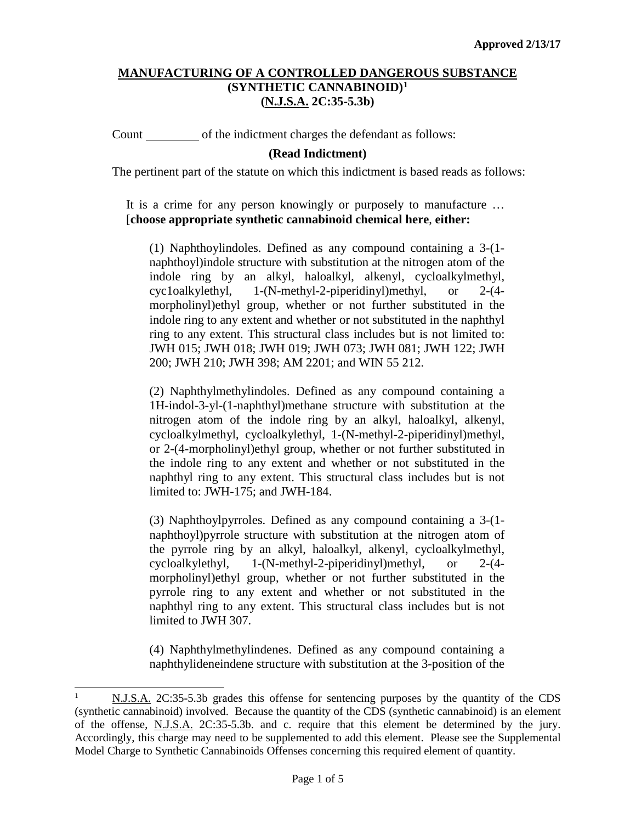Count of the indictment charges the defendant as follows:

## **(Read Indictment)**

The pertinent part of the statute on which this indictment is based reads as follows:

It is a crime for any person knowingly or purposely to manufacture … [**choose appropriate synthetic cannabinoid chemical here**, **either:**

(1) Naphthoylindoles. Defined as any compound containing a 3-(1 naphthoyl)indole structure with substitution at the nitrogen atom of the indole ring by an alkyl, haloalkyl, alkenyl, cycloalkylmethyl, cyc1oalkylethyl, 1-(N-methyl-2-piperidinyl)methyl, or 2-(4 morpholinyl)ethyl group, whether or not further substituted in the indole ring to any extent and whether or not substituted in the naphthyl ring to any extent. This structural class includes but is not limited to: JWH 015; JWH 018; JWH 019; JWH 073; JWH 081; JWH 122; JWH 200; JWH 210; JWH 398; AM 2201; and WIN 55 212.

(2) Naphthylmethylindoles. Defined as any compound containing a 1H-indol-3-yl-(1-naphthyl)methane structure with substitution at the nitrogen atom of the indole ring by an alkyl, haloalkyl, alkenyl, cycloalkylmethyl, cycloalkylethyl, 1-(N-methyl-2-piperidinyl)methyl, or 2-(4-morpholinyl)ethyl group, whether or not further substituted in the indole ring to any extent and whether or not substituted in the naphthyl ring to any extent. This structural class includes but is not limited to: JWH-175; and JWH-184.

(3) Naphthoylpyrroles. Defined as any compound containing a 3-(1 naphthoyl)pyrrole structure with substitution at the nitrogen atom of the pyrrole ring by an alkyl, haloalkyl, alkenyl, cycloalkylmethyl, cycloalkylethyl, 1-(N-methyl-2-piperidinyl)methyl, or 2-(4 morpholinyl)ethyl group, whether or not further substituted in the pyrrole ring to any extent and whether or not substituted in the naphthyl ring to any extent. This structural class includes but is not limited to JWH 307.

(4) Naphthylmethylindenes. Defined as any compound containing a naphthylideneindene structure with substitution at the 3-position of the

<span id="page-0-0"></span> <sup>1</sup> N.J.S.A. 2C:35-5.3b grades this offense for sentencing purposes by the quantity of the CDS (synthetic cannabinoid) involved. Because the quantity of the CDS (synthetic cannabinoid) is an element of the offense, N.J.S.A. 2C:35-5.3b. and c. require that this element be determined by the jury. Accordingly, this charge may need to be supplemented to add this element. Please see the Supplemental Model Charge to Synthetic Cannabinoids Offenses concerning this required element of quantity.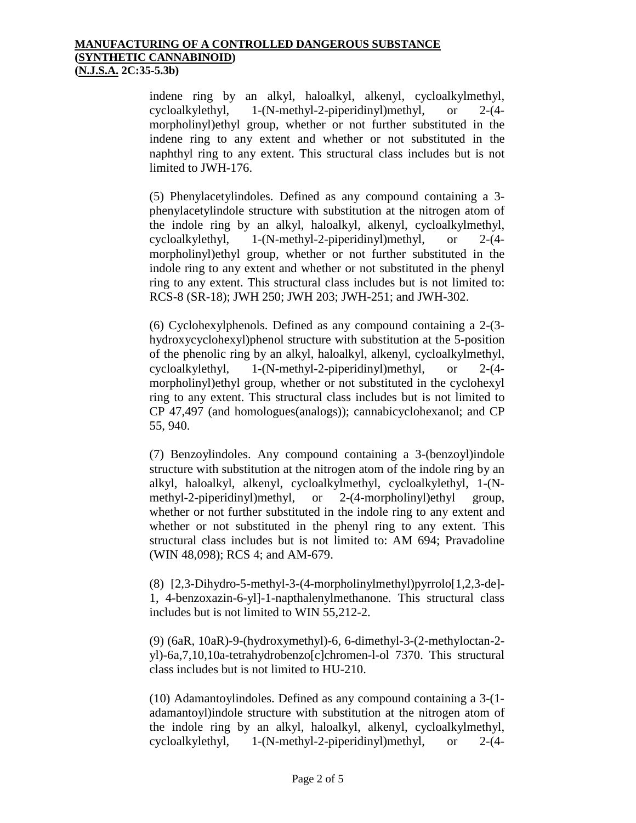indene ring by an alkyl, haloalkyl, alkenyl, cycloalkylmethyl, cycloalkylethyl, 1-(N-methyl-2-piperidinyl)methyl, or 2-(4 morpholinyl)ethyl group, whether or not further substituted in the indene ring to any extent and whether or not substituted in the naphthyl ring to any extent. This structural class includes but is not limited to JWH-176.

(5) Phenylacetylindoles. Defined as any compound containing a 3 phenylacetylindole structure with substitution at the nitrogen atom of the indole ring by an alkyl, haloalkyl, alkenyl, cycloalkylmethyl, cycloalkylethyl, 1-(N-methyl-2-piperidinyl)methyl, or 2-(4 morpholinyl)ethyl group, whether or not further substituted in the indole ring to any extent and whether or not substituted in the phenyl ring to any extent. This structural class includes but is not limited to: RCS-8 (SR-18); JWH 250; JWH 203; JWH-251; and JWH-302.

(6) Cyclohexylphenols. Defined as any compound containing a 2-(3 hydroxycyclohexyl)phenol structure with substitution at the 5-position of the phenolic ring by an alkyl, haloalkyl, alkenyl, cycloalkylmethyl, cycloalkylethyl, 1-(N-methyl-2-piperidinyl)methyl, or 2-(4 morpholinyl)ethyl group, whether or not substituted in the cyclohexyl ring to any extent. This structural class includes but is not limited to CP 47,497 (and homologues(analogs)); cannabicyclohexanol; and CP 55, 940.

(7) Benzoylindoles. Any compound containing a 3-(benzoyl)indole structure with substitution at the nitrogen atom of the indole ring by an alkyl, haloalkyl, alkenyl, cycloalkylmethyl, cycloalkylethyl, 1-(N-<br>methyl-2-piperidinyl)methyl, or 2-(4-morpholinyl)ethyl group, methyl-2-piperidinyl)methyl, or 2-(4-morpholinyl)ethyl group, whether or not further substituted in the indole ring to any extent and whether or not substituted in the phenyl ring to any extent. This structural class includes but is not limited to: AM 694; Pravadoline (WIN 48,098); RCS 4; and AM-679.

(8) [2,3-Dihydro-5-methyl-3-(4-morpholinylmethyl)pyrrolo[1,2,3-de]- 1, 4-benzoxazin-6-yl]-1-napthalenylmethanone. This structural class includes but is not limited to WIN 55,212-2.

(9) (6aR, 10aR)-9-(hydroxymethyl)-6, 6-dimethyl-3-(2-methyloctan-2 yl)-6a,7,10,10a-tetrahydrobenzo[c]chromen-l-ol 7370. This structural class includes but is not limited to HU-210.

(10) Adamantoylindoles. Defined as any compound containing a 3-(1 adamantoyl)indole structure with substitution at the nitrogen atom of the indole ring by an alkyl, haloalkyl, alkenyl, cycloalkylmethyl, cycloalkylethyl, 1-(N-methyl-2-piperidinyl)methyl, or 2-(4-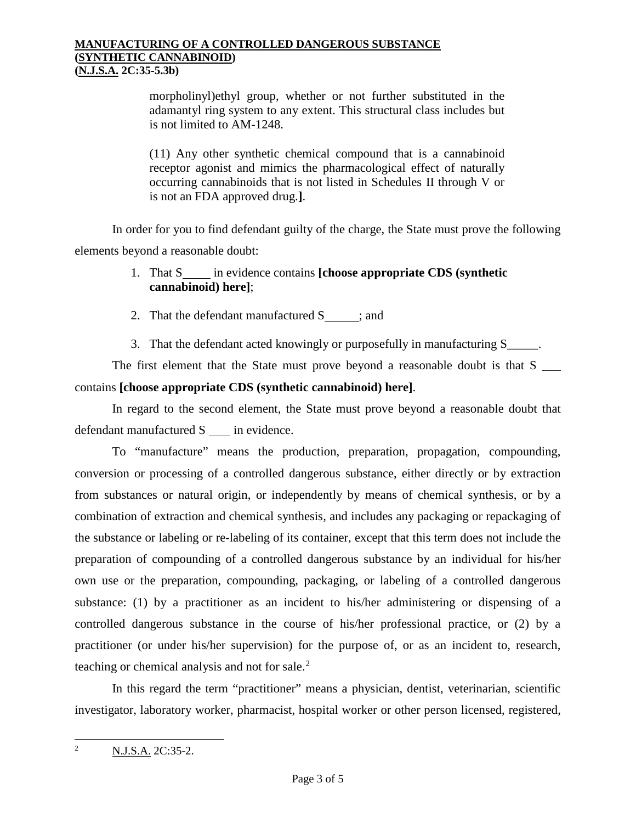morpholinyl)ethyl group, whether or not further substituted in the adamantyl ring system to any extent. This structural class includes but is not limited to AM-1248.

(11) Any other synthetic chemical compound that is a cannabinoid receptor agonist and mimics the pharmacological effect of naturally occurring cannabinoids that is not listed in Schedules II through V or is not an FDA approved drug.**]**.

In order for you to find defendant guilty of the charge, the State must prove the following elements beyond a reasonable doubt:

- 1. That S<sub>nn</sub> in evidence contains **[choose appropriate CDS (synthetic in the synthetic in the synthetic in the synthetic in the synthetic in the synthetic in the synthetic in the synthetic in the synthetic in the syntheti cannabinoid) here]**;
- 2. That the defendant manufactured  $S_{\text{max}}$ ; and
- 3. That the defendant acted knowingly or purposefully in manufacturing S\_\_\_\_\_.

The first element that the State must prove beyond a reasonable doubt is that S contains **[choose appropriate CDS (synthetic cannabinoid) here]**.

In regard to the second element, the State must prove beyond a reasonable doubt that defendant manufactured S \_\_\_\_ in evidence.

To "manufacture" means the production, preparation, propagation, compounding, conversion or processing of a controlled dangerous substance, either directly or by extraction from substances or natural origin, or independently by means of chemical synthesis, or by a combination of extraction and chemical synthesis, and includes any packaging or repackaging of the substance or labeling or re-labeling of its container, except that this term does not include the preparation of compounding of a controlled dangerous substance by an individual for his/her own use or the preparation, compounding, packaging, or labeling of a controlled dangerous substance: (1) by a practitioner as an incident to his/her administering or dispensing of a controlled dangerous substance in the course of his/her professional practice, or (2) by a practitioner (or under his/her supervision) for the purpose of, or as an incident to, research, teaching or chemical analysis and not for sale. $<sup>2</sup>$  $<sup>2</sup>$  $<sup>2</sup>$ </sup>

In this regard the term "practitioner" means a physician, dentist, veterinarian, scientific investigator, laboratory worker, pharmacist, hospital worker or other person licensed, registered,

<span id="page-2-0"></span><sup>&</sup>lt;sup>2</sup> N.J.S.A. 2C:35-2.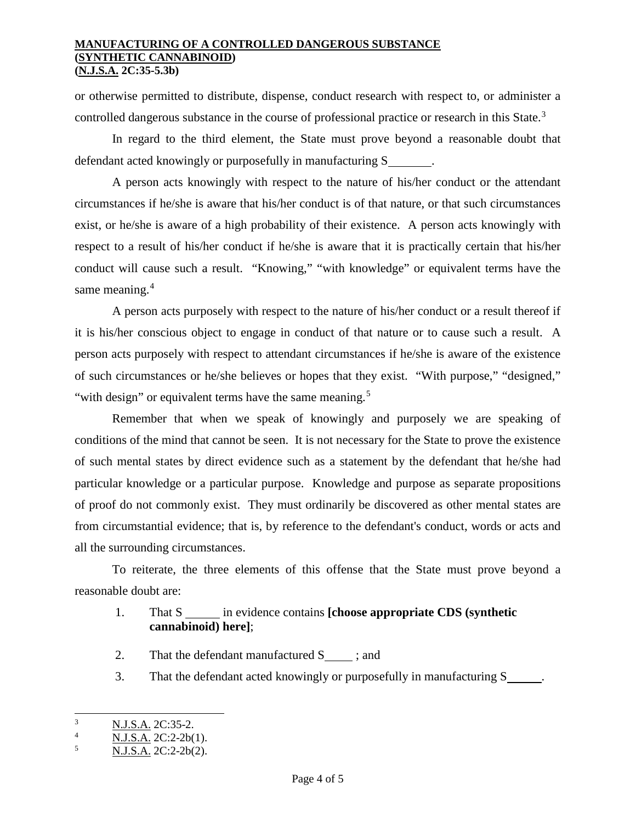or otherwise permitted to distribute, dispense, conduct research with respect to, or administer a controlled dangerous substance in the course of professional practice or research in this State.<sup>[3](#page-3-0)</sup>

In regard to the third element, the State must prove beyond a reasonable doubt that defendant acted knowingly or purposefully in manufacturing S .

A person acts knowingly with respect to the nature of his/her conduct or the attendant circumstances if he/she is aware that his/her conduct is of that nature, or that such circumstances exist, or he/she is aware of a high probability of their existence. A person acts knowingly with respect to a result of his/her conduct if he/she is aware that it is practically certain that his/her conduct will cause such a result. "Knowing," "with knowledge" or equivalent terms have the same meaning.<sup>[4](#page-3-1)</sup>

A person acts purposely with respect to the nature of his/her conduct or a result thereof if it is his/her conscious object to engage in conduct of that nature or to cause such a result. A person acts purposely with respect to attendant circumstances if he/she is aware of the existence of such circumstances or he/she believes or hopes that they exist. "With purpose," "designed," "with design" or equivalent terms have the same meaning.<sup>[5](#page-3-2)</sup>

Remember that when we speak of knowingly and purposely we are speaking of conditions of the mind that cannot be seen. It is not necessary for the State to prove the existence of such mental states by direct evidence such as a statement by the defendant that he/she had particular knowledge or a particular purpose. Knowledge and purpose as separate propositions of proof do not commonly exist. They must ordinarily be discovered as other mental states are from circumstantial evidence; that is, by reference to the defendant's conduct, words or acts and all the surrounding circumstances.

To reiterate, the three elements of this offense that the State must prove beyond a reasonable doubt are:

# 1. That S in evidence contains **[choose appropriate CDS (synthetic cannabinoid) here]**;

- 2. That the defendant manufactured S ; and
- 3. That the defendant acted knowingly or purposefully in manufacturing S .

<span id="page-3-0"></span> $\frac{3}{4}$  N.J.S.A. 2C:35-2.

<span id="page-3-1"></span> $\frac{4}{5}$  N.J.S.A. 2C:2-2b(1).

<span id="page-3-2"></span><sup>5</sup> N.J.S.A. 2C:2-2b(2).